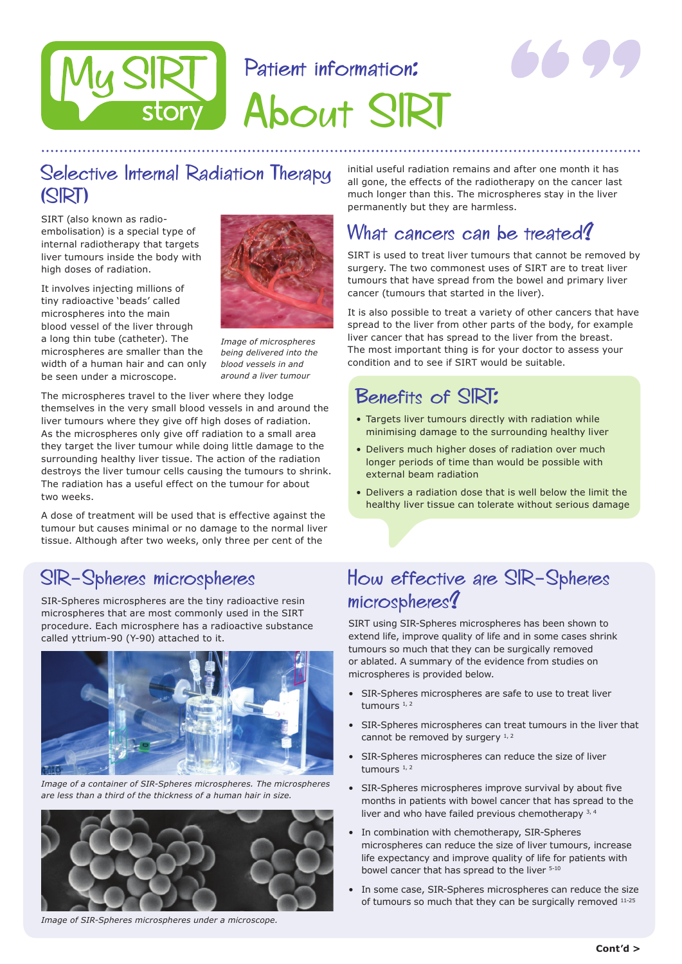# Patient information:



About SIRT

# Selective Internal Radiation Therapy (SIRT)

story

SIRT (also known as radioembolisation) is a special type of internal radiotherapy that targets liver tumours inside the body with high doses of radiation.

It involves injecting millions of tiny radioactive 'beads' called microspheres into the main blood vessel of the liver through a long thin tube (catheter). The microspheres are smaller than the width of a human hair and can only be seen under a microscope.



*Image of microspheres being delivered into the blood vessels in and around a liver tumour*

The microspheres travel to the liver where they lodge themselves in the very small blood vessels in and around the liver tumours where they give off high doses of radiation. As the microspheres only give off radiation to a small area they target the liver tumour while doing little damage to the surrounding healthy liver tissue. The action of the radiation destroys the liver tumour cells causing the tumours to shrink. The radiation has a useful effect on the tumour for about two weeks.

A dose of treatment will be used that is effective against the tumour but causes minimal or no damage to the normal liver tissue. Although after two weeks, only three per cent of the

## SIR-Spheres microspheres

SIR-Spheres microspheres are the tiny radioactive resin microspheres that are most commonly used in the SIRT procedure. Each microsphere has a radioactive substance called yttrium-90 (Y-90) attached to it.



*Image of a container of SIR-Spheres microspheres. The microspheres are less than a third of the thickness of a human hair in size.*



*Image of SIR-Spheres microspheres under a microscope.*

initial useful radiation remains and after one month it has all gone, the effects of the radiotherapy on the cancer last much longer than this. The microspheres stay in the liver permanently but they are harmless.

#### What cancers can be treated!

SIRT is used to treat liver tumours that cannot be removed by surgery. The two commonest uses of SIRT are to treat liver tumours that have spread from the bowel and primary liver cancer (tumours that started in the liver).

It is also possible to treat a variety of other cancers that have spread to the liver from other parts of the body, for example liver cancer that has spread to the liver from the breast. The most important thing is for your doctor to assess your condition and to see if SIRT would be suitable.

#### Benefits of SIRT:

- Targets liver tumours directly with radiation while minimising damage to the surrounding healthy liver
- Delivers much higher doses of radiation over much longer periods of time than would be possible with external beam radiation
- • Delivers a radiation dose that is well below the limit the healthy liver tissue can tolerate without serious damage

### How effective are SIR-Spheres microspheres?

SIRT using SIR-Spheres microspheres has been shown to extend life, improve quality of life and in some cases shrink tumours so much that they can be surgically removed or ablated. A summary of the evidence from studies on microspheres is provided below.

- SIR-Spheres microspheres are safe to use to treat liver tumours  $1, 2$
- SIR-Spheres microspheres can treat tumours in the liver that cannot be removed by surgery  $1, 2$
- SIR-Spheres microspheres can reduce the size of liver tumours  $1, 2$
- SIR-Spheres microspheres improve survival by about five months in patients with bowel cancer that has spread to the liver and who have failed previous chemotherapy 3, 4
- In combination with chemotherapy, SIR-Spheres microspheres can reduce the size of liver tumours, increase life expectancy and improve quality of life for patients with bowel cancer that has spread to the liver  $5-10$
- In some case, SIR-Spheres microspheres can reduce the size of tumours so much that they can be surgically removed 11-25